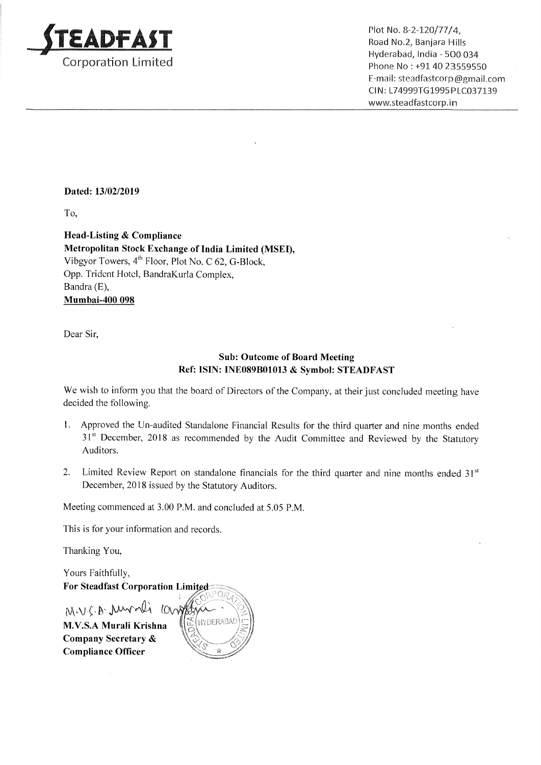

Plot No. 8-2-120/77/4,<br>
Plot No. 8-2-120/77/4,<br>
Proporation Limited<br>
Phone No: +91 40 23559550 . . Hyderabad, India — 500 034 E—mail: steadfastcorp@gmail.com Cl N: L74999TG 1995 PLC037139 www.5teadfastcorp.in

## Dated: 13/02/2019

To,

Head-Listing & Compliance Metropolitan Stock Exchange of India Limited (MSEI), Vibgyor Towers, 4<sup>th</sup> Floor, Plot No. C 62, G-Block, Opp. Trident Hotel, BandraKurla Complex, Bandra (E), Mumbai—400 098

Dear Sir,

## Sub: Outcome of Board Meeting Ref: ISIN: INE089301013 & Symbol: STEADFAST

We wish to inform you that the board of Directors of the Company, at their just concluded meeting have decided the following.

- 1. Approved the Un-audited Standalone Financial Results for the third quarter and nine months ended 31st December, 2018 as recommended by the Audit Committee and Reviewed by the Statutory Auditors.
- 2. Limited Review Report on standalone financials for the third quarter and nine months ended  $31<sup>st</sup>$ December, 2018 issued by the Statutory Auditors.

Meeting commenced at 3.00 RM. and concluded at 5.05 RM.

This is for your information and records.

Thanking You,

Yours <sup>F</sup>aithfully, For Steadfast Corporation Limited  $M.V.C.B.$  unrali compty **HYDERABA!** M.V.S.A Murali Krishna Company Secretary & Compliance Officer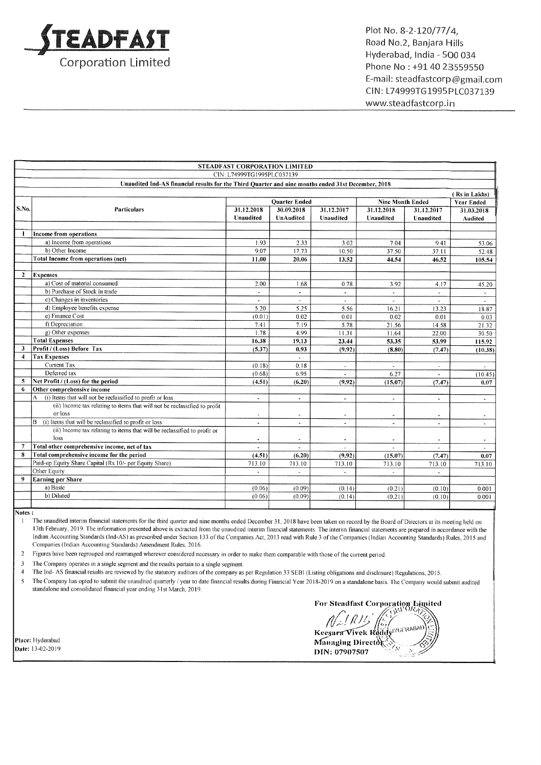

Plot No. 8-2—120/77/4, Road No.2, Banjara Hills Hyderabad, India — 500 034 Phone No : +91 40 23559550 Email: steadfastcorp@gma11.com CIN: L74999T61995PLC037139 www.steadfastcorp.in

| <b>STEADFAST CORPORATION LIMITED</b> |                                                                                                    |                            |                |                |                          |                |                          |
|--------------------------------------|----------------------------------------------------------------------------------------------------|----------------------------|----------------|----------------|--------------------------|----------------|--------------------------|
|                                      |                                                                                                    | CIN: L74999TG1995PLC037139 |                |                |                          |                |                          |
|                                      | Unaudited Ind-AS financial results for the Third Quarter and nine months ended 31st December, 2018 |                            |                |                |                          |                |                          |
|                                      |                                                                                                    |                            |                |                |                          |                | (Rs in Lakhs)            |
|                                      |                                                                                                    | <b>Quarter Ended</b>       |                |                | <b>Nine Month Ended</b>  |                | <b>Year Ended</b>        |
| S.No.                                | <b>Particulars</b>                                                                                 | 31.12.2018                 | 30.09.2018     | 31.12.2017     | 31.12.2018               | 31.12.2017     | 31.03.2018               |
|                                      |                                                                                                    | Unaudited                  | UnAudited      | Unaudited      | Unaudited                | Unaudited      | Audited                  |
|                                      |                                                                                                    |                            |                |                |                          |                |                          |
| $\mathbf{1}$                         | Income from operations                                                                             |                            |                |                |                          |                |                          |
|                                      | a) Income from operations                                                                          | 1.93                       | 2.33           | 3.02           | 7.04                     | 9.41           | 53.06                    |
|                                      | b) Other Income                                                                                    | 9.07                       | 17.73          | 10.50          | 37.50                    | 37.11          | 52.48                    |
|                                      | Total Income from operations (net)                                                                 | 11.00                      | 20.06          | 13.52          | 44.54                    | 46.52          | 105.54                   |
|                                      |                                                                                                    |                            |                |                |                          |                |                          |
| $\mathbf{2}$                         | <b>Expenses</b>                                                                                    |                            |                |                |                          |                |                          |
|                                      | a) Cost of material consumed                                                                       | 2.00                       | 1.68           | 0.78           | 3.92                     | 4.17           | 45.20                    |
|                                      | b) Purchase of Stock in trade                                                                      | ÷.                         |                | $\blacksquare$ | u.                       | $\sim$         | $\overline{\phantom{a}}$ |
|                                      | c) Changes in inventories                                                                          | $\mathbf{u}$               | $\sim$         | $\mathbf{r}$   | $\sim$                   | $\sim$         | $\sim$                   |
|                                      | d) Employee benefits expense                                                                       | 5.20                       | 5.25           | 5.56           | 16.21                    | 13.23          | 18.87                    |
|                                      | e) Finance Cost                                                                                    | (0.01)                     | 0.02           | 0.01           | 0.02                     | 0.01           | 0.03                     |
|                                      | f) Depreciation                                                                                    | 7.41                       | 7.19           | 5.78           | 21.56                    | 14.58          | 21.32                    |
|                                      | g) Other expenses                                                                                  | 1.78                       | 4.99           | 11.31          | 11.64                    | 22.00          | 30.50                    |
|                                      | <b>Total Expenses</b>                                                                              | 16.38                      | 19.13          | 23.44          | 53,35                    | 53.99          | 115.92                   |
| $\mathbf{3}$                         | Profit / (Loss) Before Tax                                                                         | (5.37)                     | 0.93           | (9.92)         | (8.80)                   | (7.47)         | (10.38)                  |
| $\overline{4}$                       | <b>Tax Expenses</b>                                                                                |                            | ÷.             |                |                          |                |                          |
|                                      | Current Tax                                                                                        | (0.18)                     | 0.18           | $\overline{a}$ |                          | $\bullet$      |                          |
|                                      | Deferred tax                                                                                       | (0.68)                     | 6.95           | $\sim$         | 6.27                     | $\overline{a}$ | (10.45)                  |
| 5                                    | Net Profit / (Loss) for the period                                                                 | (4.51)                     | (6.20)         | (9.92)         | (15.07)                  | (7.47)         | 0.07                     |
| 6                                    | Other comprehensive income                                                                         |                            |                |                |                          |                |                          |
|                                      | (i) Items that will not be reclassified to profit or loss<br>A                                     |                            | $\blacksquare$ | $\blacksquare$ | $\overline{\phantom{a}}$ | $\blacksquare$ | $\overline{\phantom{a}}$ |
|                                      | (ii) Income tax relating to items that will not be reclassified to profit                          |                            |                |                |                          |                |                          |
|                                      | or loss                                                                                            |                            |                |                | $\blacksquare$           |                | $\sim$                   |
|                                      | (i) Items that will be reclassified to profit or loss<br>B                                         | $\blacksquare$             | $\omega$       | $\blacksquare$ | $\blacksquare$           | $\blacksquare$ |                          |
|                                      | (ii) Income tax relating to items that will be reclassified to profit or                           |                            |                |                |                          |                |                          |
|                                      | loss                                                                                               | $\blacksquare$             |                |                | $\ddot{\phantom{0}}$     |                | $\tilde{\phantom{a}}$    |
|                                      | Total other comprehensive income, net of tax                                                       |                            |                |                |                          |                |                          |
| 8                                    | Total comprehensive income for the period                                                          | (4.51)                     | (6.20)         | (9.92)         | (15.07)                  | (7.47)         | 0.07                     |
|                                      | Paid-up Equity Share Capital (Rs.10/- per Equity Share)                                            | 713.10                     | 713.10         | 713.10         | 713.10                   | 713.10         | 713.10                   |
|                                      | Other Equity                                                                                       | $\blacksquare$             | $\overline{a}$ | $\overline{a}$ |                          | ä,             |                          |
| 9                                    | <b>Earning per Share</b>                                                                           |                            |                |                |                          |                |                          |
|                                      | a) Basic                                                                                           | (0.06)                     | (0.09)         | (0.14)         | (0.21)                   | (0.10)         | 0.001                    |
|                                      | b) Diluted                                                                                         | (0.06)                     | (0.09)         | (0.14)         | (0.21)                   | (0.10)         | 0.001                    |
|                                      |                                                                                                    |                            |                |                |                          |                |                          |

Notes :

1 The unaudited interim financial statements for the third quarter and nine months ended December 31, 2018 have been taken on record by the Board of Directors at its meeting held on 13th February, 2019. The information presented above is extracted from the unaudited interim financial statements. The interim financial statements are prepared in accordance with the Indian Accounting Standards (Ind-AS) as prescribed under Section <sup>133</sup> ofthe Companies Act. <sup>2013</sup> read with Rule <sup>3</sup> ofthe Companies (Indian Accounting Standards) Rules, <sup>2015</sup> and Companies (Indian Accounting Standards) Amendment Rules, 2016.

<sup>2</sup> Figures have been regrouped and rearranged wherever considered necessary in order to make them comparable with those of the current period.

3 The Company operates in a single segment and the results pertain to a single segment.<br>4 The Ind-AS financial results are reviewed by the statutory auditors of the company as

4 The Ind- AS financial results are reviewed by the statutory auditors of the company as per Regulation 33 SEBI (Listing obligations and disclosure) Regulations, 2015.<br>5 The Company has opted to submit the unaudited quarte

<sup>5</sup> The Company has opted to submit the unaudited quarterly / year to date financial results during Financial Year 2018-2019 on <sup>a</sup> standalone basis. The Company would submit audited standalone and consolidated financial year ending 31st March, 2019.

For Steadfast Corporation Limited<br> $\sqrt{\frac{1}{2}l\ln\frac{1}{2}}$ ~. *(115 | 63)*<br>Keesara Vivek Reddy (1968-1988)<br>Managing Director i <sup>A</sup> Place: Hyderabad Managing Director (field)<br>
Date: 13-02-2019 Director (field) and the managing Director (field) and the managing Director (field) and the managing Director (field) and the managing Director (field) and the  $\begin{bmatrix} 1 & 0 & 0 \\ 0 & 1 & 0 \end{bmatrix}$ <br>  $\begin{bmatrix} 0 & 0 \\ 0 & 1 \end{bmatrix}$ <br>  $\begin{bmatrix} 0 & 0 \\ 0 & 0 \end{bmatrix}$ <br>  $\begin{bmatrix} 0 & 0 \\ 0 & 1 \end{bmatrix}$ <br>  $\begin{bmatrix} 0 & 0 \\ 0 & 1 \end{bmatrix}$ <br>  $\begin{bmatrix} 0 & 0 \\ 0 & 1 \end{bmatrix}$ <br>  $\begin{bmatrix} 0 & 0 \\ 0 & 1 \end{bmatrix}$ <br>  $\begin{bmatrix} 0 & 0 \\ 0 & 1 \end{bmatrix}$ <br>